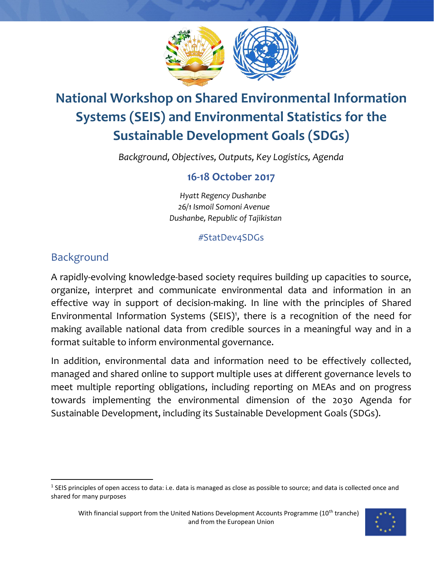

# **National Workshop on Shared Environmental Information Systems (SEIS) and Environmental Statistics for the Sustainable Development Goals (SDGs)**

*Background, Objectives, Outputs, Key Logistics, Agenda*

## **16-18 October 2017**

 *Hyatt Regency Dushanbe 26/1 Ismoil Somoni Avenue Dushanbe, Republic of Tajikistan*

### #StatDev4SDGs

## Background

 $\overline{\phantom{a}}$ 

A rapidly-evolving knowledge-based society requires building up capacities to source, organize, interpret and communicate environmental data and information in an effective way in support of decision-making. In line with the principles of Shared Environmental Information Systems (SEIS)<sup>1</sup>, there is a recognition of the need for making available national data from credible sources in a meaningful way and in a format suitable to inform environmental governance.

In addition, environmental data and information need to be effectively collected, managed and shared online to support multiple uses at different governance levels to meet multiple reporting obligations, including reporting on MEAs and on progress towards implementing the environmental dimension of the 2030 Agenda for Sustainable Development, including its Sustainable Development Goals (SDGs).

 $1$  SEIS principles of open access to data: i.e. data is managed as close as possible to source; and data is collected once and shared for many purposes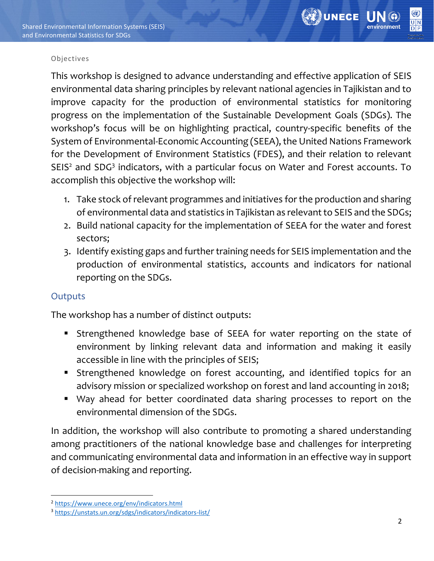

#### Objectives

This workshop is designed to advance understanding and effective application of SEIS environmental data sharing principles by relevant national agencies in Tajikistan and to improve capacity for the production of environmental statistics for monitoring progress on the implementation of the Sustainable Development Goals (SDGs). The workshop's focus will be on highlighting practical, country-specific benefits of the System of Environmental-Economic Accounting (SEEA), the United Nations Framework for the Development of Environment Statistics (FDES), and their relation to relevant SEIS<sup>2</sup> and SDG<sup>3</sup> indicators, with a particular focus on Water and Forest accounts. To accomplish this objective the workshop will:

- 1. Take stock of relevant programmes and initiatives for the production and sharing of environmental data and statistics in Tajikistan as relevant to SEIS and the SDGs;
- 2. Build national capacity for the implementation of SEEA for the water and forest sectors;
- 3. Identify existing gaps and further training needs for SEIS implementation and the production of environmental statistics, accounts and indicators for national reporting on the SDGs.

### **Outputs**

The workshop has a number of distinct outputs:

- **EXTERGHERIGE STEES IS NOT STEE IS NOTE** Strengthened knowledge base of SEEA for water reporting on the state of environment by linking relevant data and information and making it easily accessible in line with the principles of SEIS;
- **EXTERGHERIGE STEES IS A SET IS EXE** Strengthened knowledge on forest accounting, and identified topics for an advisory mission or specialized workshop on forest and land accounting in 2018;
- Way ahead for better coordinated data sharing processes to report on the environmental dimension of the SDGs.

In addition, the workshop will also contribute to promoting a shared understanding among practitioners of the national knowledge base and challenges for interpreting and communicating environmental data and information in an effective way in support of decision-making and reporting.

 $\overline{\phantom{a}}$ <sup>2</sup> <https://www.unece.org/env/indicators.html>

<sup>3</sup> <https://unstats.un.org/sdgs/indicators/indicators-list/>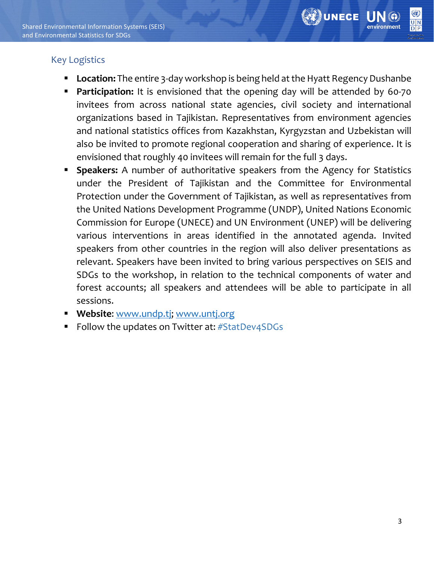

### Key Logistics

- Location: The entire 3-day workshop is being held at the Hyatt Regency Dushanbe
- **Participation:** It is envisioned that the opening day will be attended by 60-70 invitees from across national state agencies, civil society and international organizations based in Tajikistan. Representatives from environment agencies and national statistics offices from Kazakhstan, Kyrgyzstan and Uzbekistan will also be invited to promote regional cooperation and sharing of experience. It is envisioned that roughly 40 invitees will remain for the full 3 days.
- **Speakers:** A number of authoritative speakers from the Agency for Statistics under the President of Tajikistan and the Committee for Environmental Protection under the Government of Tajikistan, as well as representatives from the United Nations Development Programme (UNDP), United Nations Economic Commission for Europe (UNECE) and UN Environment (UNEP) will be delivering various interventions in areas identified in the annotated agenda. Invited speakers from other countries in the region will also deliver presentations as relevant. Speakers have been invited to bring various perspectives on SEIS and SDGs to the workshop, in relation to the technical components of water and forest accounts; all speakers and attendees will be able to participate in all sessions.
- **Website**: [www.undp.tj;](http://www.undp.tj/) [www.untj.org](http://www.untj.org/)
- Follow the updates on Twitter at: #StatDev4SDGs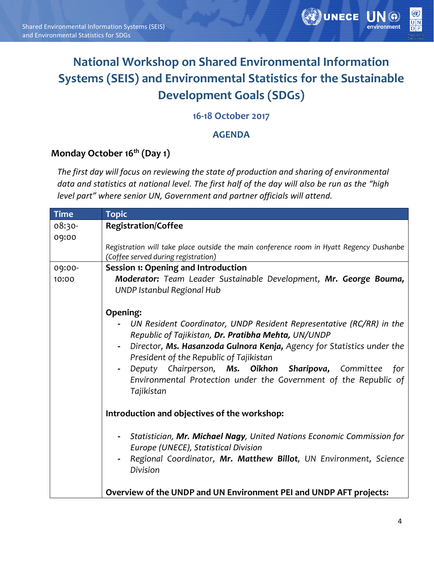

## **National Workshop on Shared Environmental Information Systems (SEIS) and Environmental Statistics for the Sustainable Development Goals (SDGs)**

### **16-18 October 2017**

### **AGENDA**

### **Monday October 16th (Day 1)**

*The first day will focus on reviewing the state of production and sharing of environmental data and statistics at national level. The first half of the day will also be run as the "high level part" where senior UN, Government and partner officials will attend.*

| <b>Time</b> | <b>Topic</b>                                                                                                                                                                                                                                                                                                                                                                                     |
|-------------|--------------------------------------------------------------------------------------------------------------------------------------------------------------------------------------------------------------------------------------------------------------------------------------------------------------------------------------------------------------------------------------------------|
| 08:30-      | <b>Registration/Coffee</b>                                                                                                                                                                                                                                                                                                                                                                       |
| 09:00       |                                                                                                                                                                                                                                                                                                                                                                                                  |
|             | Registration will take place outside the main conference room in Hyatt Regency Dushanbe                                                                                                                                                                                                                                                                                                          |
|             | (Coffee served during registration)                                                                                                                                                                                                                                                                                                                                                              |
| 09:00-      | <b>Session 1: Opening and Introduction</b>                                                                                                                                                                                                                                                                                                                                                       |
| 10:00       | Moderator: Team Leader Sustainable Development, Mr. George Bouma,<br>UNDP Istanbul Regional Hub                                                                                                                                                                                                                                                                                                  |
|             | Opening:                                                                                                                                                                                                                                                                                                                                                                                         |
|             | UN Resident Coordinator, UNDP Resident Representative (RC/RR) in the<br>Republic of Tajikistan, Dr. Pratibha Mehta, UN/UNDP<br>Director, Ms. Hasanzoda Gulnora Kenja, Agency for Statistics under the<br>President of the Republic of Tajikistan<br>Deputy Chairperson, Ms. Oikhon Sharipova, Committee<br>for<br>Environmental Protection under the Government of the Republic of<br>Tajikistan |
|             | Introduction and objectives of the workshop:                                                                                                                                                                                                                                                                                                                                                     |
|             | Statistician, Mr. Michael Nagy, United Nations Economic Commission for<br>Europe (UNECE), Statistical Division<br>Regional Coordinator, Mr. Matthew Billot, UN Environment, Science<br>Division                                                                                                                                                                                                  |
|             | Overview of the UNDP and UN Environment PEI and UNDP AFT projects:                                                                                                                                                                                                                                                                                                                               |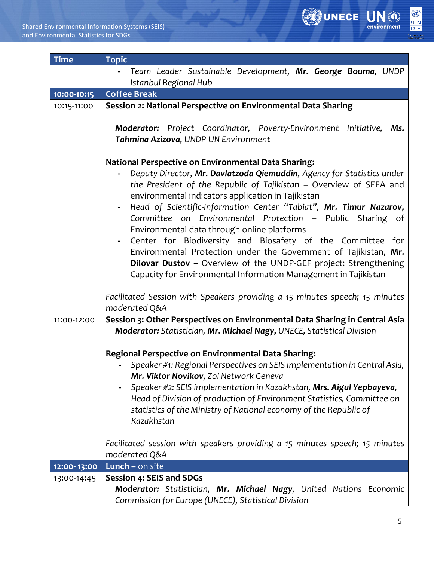

| <b>Time</b> | <b>Topic</b>                                                                                                                                                                                                                                                                                                                                                                                                                                                                                                                                                                                                                                                                                                                |
|-------------|-----------------------------------------------------------------------------------------------------------------------------------------------------------------------------------------------------------------------------------------------------------------------------------------------------------------------------------------------------------------------------------------------------------------------------------------------------------------------------------------------------------------------------------------------------------------------------------------------------------------------------------------------------------------------------------------------------------------------------|
|             | Team Leader Sustainable Development, Mr. George Bouma, UNDP                                                                                                                                                                                                                                                                                                                                                                                                                                                                                                                                                                                                                                                                 |
|             | Istanbul Regional Hub                                                                                                                                                                                                                                                                                                                                                                                                                                                                                                                                                                                                                                                                                                       |
| 10:00-10:15 | <b>Coffee Break</b>                                                                                                                                                                                                                                                                                                                                                                                                                                                                                                                                                                                                                                                                                                         |
| 10:15-11:00 | Session 2: National Perspective on Environmental Data Sharing                                                                                                                                                                                                                                                                                                                                                                                                                                                                                                                                                                                                                                                               |
|             | Moderator: Project Coordinator, Poverty-Environment Initiative,<br>Ms.<br>Tahmina Azizova, UNDP-UN Environment                                                                                                                                                                                                                                                                                                                                                                                                                                                                                                                                                                                                              |
|             | <b>National Perspective on Environmental Data Sharing:</b><br>Deputy Director, Mr. Davlatzoda Qiemuddin, Agency for Statistics under<br>the President of the Republic of Tajikistan - Overview of SEEA and<br>environmental indicators application in Tajikistan<br>Head of Scientific-Information Center "Tabiat", Mr. Timur Nazarov,<br>Committee on Environmental Protection - Public Sharing of<br>Environmental data through online platforms<br>Center for Biodiversity and Biosafety of the Committee for<br>Environmental Protection under the Government of Tajikistan, Mr.<br>Dilovar Dustov - Overview of the UNDP-GEF project: Strengthening<br>Capacity for Environmental Information Management in Tajikistan |
|             | Facilitated Session with Speakers providing a 15 minutes speech; 15 minutes<br>moderated Q&A                                                                                                                                                                                                                                                                                                                                                                                                                                                                                                                                                                                                                                |
| 11:00-12:00 | Session 3: Other Perspectives on Environmental Data Sharing in Central Asia<br>Moderator: Statistician, Mr. Michael Nagy, UNECE, Statistical Division                                                                                                                                                                                                                                                                                                                                                                                                                                                                                                                                                                       |
|             | Regional Perspective on Environmental Data Sharing:<br>Speaker #1: Regional Perspectives on SEIS implementation in Central Asia,<br>Mr. Viktor Novikov, Zoi Network Geneva<br>Speaker #2: SEIS implementation in Kazakhstan, Mrs. Aigul Yepbayeva,<br>Head of Division of production of Environment Statistics, Committee on<br>statistics of the Ministry of National economy of the Republic of<br>Kazakhstan                                                                                                                                                                                                                                                                                                             |
|             | Facilitated session with speakers providing a 15 minutes speech; 15 minutes<br>moderated Q&A                                                                                                                                                                                                                                                                                                                                                                                                                                                                                                                                                                                                                                |
| 12:00-13:00 | Lunch $-$ on site                                                                                                                                                                                                                                                                                                                                                                                                                                                                                                                                                                                                                                                                                                           |
| 13:00-14:45 | Session 4: SEIS and SDGs<br>Moderator: Statistician, Mr. Michael Nagy, United Nations Economic<br>Commission for Europe (UNECE), Statistical Division                                                                                                                                                                                                                                                                                                                                                                                                                                                                                                                                                                       |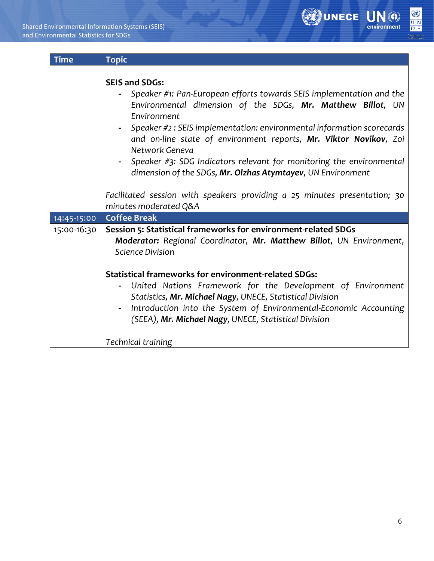

| <b>Time</b> | <b>Topic</b>                                                                                                                                                                                                                                                                                                                                                                                                                                                                                                                                                                                  |
|-------------|-----------------------------------------------------------------------------------------------------------------------------------------------------------------------------------------------------------------------------------------------------------------------------------------------------------------------------------------------------------------------------------------------------------------------------------------------------------------------------------------------------------------------------------------------------------------------------------------------|
|             | <b>SEIS and SDGs:</b><br>Speaker #1: Pan-European efforts towards SEIS implementation and the<br>Environmental dimension of the SDGs, Mr. Matthew Billot, UN<br>Environment<br>Speaker #2 : SEIS implementation: environmental information scorecards<br>and on-line state of environment reports, Mr. Viktor Novikov, Zoi<br>Network Geneva<br>Speaker $\#$ 3: SDG Indicators relevant for monitoring the environmental<br>dimension of the SDGs, Mr. Olzhas Atymtayev, UN Environment<br>Facilitated session with speakers providing a 25 minutes presentation; 30<br>minutes moderated Q&A |
| 14:45-15:00 | <b>Coffee Break</b>                                                                                                                                                                                                                                                                                                                                                                                                                                                                                                                                                                           |
| 15:00-16:30 | Session 5: Statistical frameworks for environment-related SDGs<br>Moderator: Regional Coordinator, Mr. Matthew Billot, UN Environment,<br>Science Division<br><b>Statistical frameworks for environment-related SDGs:</b><br>United Nations Framework for the Development of Environment<br>Statistics, Mr. Michael Nagy, UNECE, Statistical Division<br>Introduction into the System of Environmental-Economic Accounting<br>(SEEA), Mr. Michael Nagy, UNECE, Statistical Division                                                                                                           |
|             | Technical training                                                                                                                                                                                                                                                                                                                                                                                                                                                                                                                                                                            |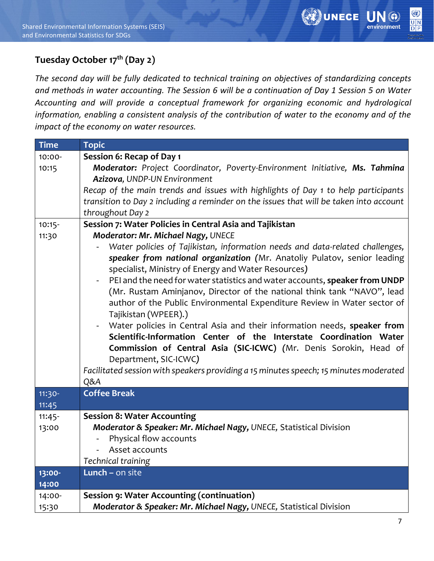

## **Tuesday October 17th (Day 2)**

*The second day will be fully dedicated to technical training on objectives of standardizing concepts and methods in water accounting. The Session 6 will be a continuation of Day 1 Session 5 on Water Accounting and will provide a conceptual framework for organizing economic and hydrological information, enabling a consistent analysis of the contribution of water to the economy and of the impact of the economy on water resources.* 

| <b>Time</b> | <b>Topic</b>                                                                                 |
|-------------|----------------------------------------------------------------------------------------------|
| 10:00-      | Session 6: Recap of Day 1                                                                    |
| 10:15       | Moderator: Project Coordinator, Poverty-Environment Initiative, Ms. Tahmina                  |
|             | Azizova, UNDP-UN Environment                                                                 |
|             | Recap of the main trends and issues with highlights of Day 1 to help participants            |
|             | transition to Day 2 including a reminder on the issues that will be taken into account       |
|             | throughout Day 2                                                                             |
| $10:15-$    | Session 7: Water Policies in Central Asia and Tajikistan                                     |
| 11:30       | Moderator: Mr. Michael Nagy, UNECE                                                           |
|             | Water policies of Tajikistan, information needs and data-related challenges,                 |
|             | speaker from national organization (Mr. Anatoliy Pulatov, senior leading                     |
|             | specialist, Ministry of Energy and Water Resources)                                          |
|             | PEI and the need for water statistics and water accounts, speaker from UNDP                  |
|             | (Mr. Rustam Aminjanov, Director of the national think tank "NAVO", lead                      |
|             | author of the Public Environmental Expenditure Review in Water sector of                     |
|             | Tajikistan (WPEER).)                                                                         |
|             | Water policies in Central Asia and their information needs, speaker from                     |
|             | Scientific-Information Center of the Interstate Coordination Water                           |
|             | Commission of Central Asia (SIC-ICWC) (Mr. Denis Sorokin, Head of                            |
|             | Department, SIC-ICWC)                                                                        |
|             | Facilitated session with speakers providing a 15 minutes speech; 15 minutes moderated        |
|             | Q&A                                                                                          |
| $11:30-$    | <b>Coffee Break</b>                                                                          |
| 11:45       |                                                                                              |
| $11:45-$    | <b>Session 8: Water Accounting</b>                                                           |
| 13:00       | Moderator & Speaker: Mr. Michael Nagy, UNECE, Statistical Division<br>Physical flow accounts |
|             | Asset accounts<br>$\overline{\phantom{a}}$                                                   |
|             | Technical training                                                                           |
| 13:00-      | Lunch - on site                                                                              |
| 14:00       |                                                                                              |
| 14:00-      | <b>Session 9: Water Accounting (continuation)</b>                                            |
| 15:30       | Moderator & Speaker: Mr. Michael Nagy, UNECE, Statistical Division                           |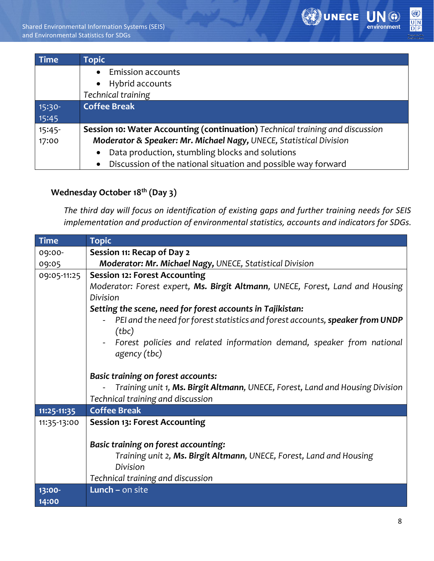

| <b>Time</b> | <b>Topic</b>                                                                  |
|-------------|-------------------------------------------------------------------------------|
|             | <b>Emission accounts</b><br>$\bullet$                                         |
|             | • Hybrid accounts                                                             |
|             | Technical training                                                            |
| 15:30-      | <b>Coffee Break</b>                                                           |
| 15:45       |                                                                               |
| $15:45-$    | Session 10: Water Accounting (continuation) Technical training and discussion |
| 17:00       | Moderator & Speaker: Mr. Michael Nagy, UNECE, Statistical Division            |
|             | Data production, stumbling blocks and solutions<br>$\bullet$                  |
|             | • Discussion of the national situation and possible way forward               |

### **Wednesday October 18th (Day 3)**

*The third day will focus on identification of existing gaps and further training needs for SEIS implementation and production of environmental statistics, accounts and indicators for SDGs.* 

| <b>Time</b> | <b>Topic</b>                                                                  |
|-------------|-------------------------------------------------------------------------------|
| 09:00-      | Session 11: Recap of Day 2                                                    |
| 09:05       | Moderator: Mr. Michael Nagy, UNECE, Statistical Division                      |
| 09:05-11:25 | <b>Session 12: Forest Accounting</b>                                          |
|             | Moderator: Forest expert, Ms. Birgit Altmann, UNECE, Forest, Land and Housing |
|             | Division                                                                      |
|             | Setting the scene, need for forest accounts in Tajikistan:                    |
|             | PEI and the need for forest statistics and forest accounts, speaker from UNDP |
|             | (tbc)                                                                         |
|             | Forest policies and related information demand, speaker from national         |
|             | agency (tbc)                                                                  |
|             |                                                                               |
|             | <b>Basic training on forest accounts:</b>                                     |
|             | Training unit 1, Ms. Birgit Altmann, UNECE, Forest, Land and Housing Division |
|             | Technical training and discussion                                             |
| 11:25-11:35 | <b>Coffee Break</b>                                                           |
| 11:35-13:00 | <b>Session 13: Forest Accounting</b>                                          |
|             |                                                                               |
|             | Basic training on forest accounting:                                          |
|             | Training unit 2, Ms. Birgit Altmann, UNECE, Forest, Land and Housing          |
|             | Division                                                                      |
|             | Technical training and discussion                                             |
| 13:00-      | Lunch $-$ on site                                                             |
| 14:00       |                                                                               |